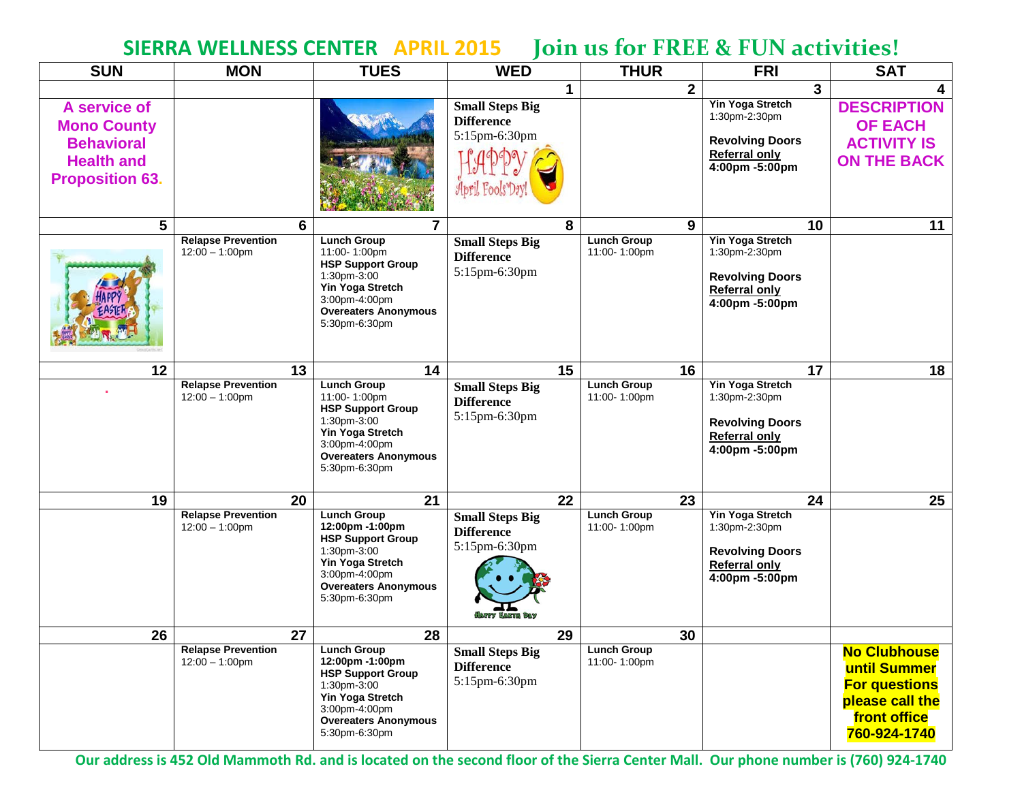## **SIERRA WELLNESS CENTER APRIL 2015 Join us for FREE & FUN activities!**

| <b>SUN</b>                                                                                             | <b>MON</b>                                     | <b>TUES</b>                                                                                                                                                           | <b>WED</b>                                                                       | <b>THUR</b>                        | <b>FRI</b>                                                                                                   | <b>SAT</b>                                                                                                     |
|--------------------------------------------------------------------------------------------------------|------------------------------------------------|-----------------------------------------------------------------------------------------------------------------------------------------------------------------------|----------------------------------------------------------------------------------|------------------------------------|--------------------------------------------------------------------------------------------------------------|----------------------------------------------------------------------------------------------------------------|
|                                                                                                        |                                                |                                                                                                                                                                       | 1                                                                                | $\overline{2}$                     | $\mathbf{3}$                                                                                                 | 4                                                                                                              |
| A service of<br><b>Mono County</b><br><b>Behavioral</b><br><b>Health and</b><br><b>Proposition 63.</b> |                                                |                                                                                                                                                                       | <b>Small Steps Big</b><br><b>Difference</b><br>5:15pm-6:30pm                     |                                    | <b>Yin Yoga Stretch</b><br>1:30pm-2:30pm<br><b>Revolving Doors</b><br><b>Referral only</b><br>4:00pm -5:00pm | <b>DESCRIPTION</b><br><b>OF EACH</b><br><b>ACTIVITY IS</b><br><b>ON THE BACK</b>                               |
| 5                                                                                                      | 6                                              | 7                                                                                                                                                                     | 8                                                                                | 9                                  | 10                                                                                                           | 11                                                                                                             |
|                                                                                                        | <b>Relapse Prevention</b><br>$12:00 - 1:00$ pm | <b>Lunch Group</b><br>11:00-1:00pm<br><b>HSP Support Group</b><br>1:30pm-3:00<br>Yin Yoga Stretch<br>3:00pm-4:00pm<br><b>Overeaters Anonymous</b><br>5:30pm-6:30pm    | <b>Small Steps Big</b><br><b>Difference</b><br>5:15pm-6:30pm                     | <b>Lunch Group</b><br>11:00-1:00pm | Yin Yoga Stretch<br>1:30pm-2:30pm<br><b>Revolving Doors</b><br><b>Referral only</b><br>4:00pm -5:00pm        |                                                                                                                |
| 12                                                                                                     | 13                                             | 14                                                                                                                                                                    | 15                                                                               | 16                                 | 17                                                                                                           | 18                                                                                                             |
|                                                                                                        | <b>Relapse Prevention</b><br>$12:00 - 1:00$ pm | <b>Lunch Group</b><br>11:00-1:00pm<br><b>HSP Support Group</b><br>1:30pm-3:00<br>Yin Yoga Stretch<br>3:00pm-4:00pm<br><b>Overeaters Anonymous</b><br>5:30pm-6:30pm    | <b>Small Steps Big</b><br><b>Difference</b><br>5:15pm-6:30pm                     | <b>Lunch Group</b><br>11:00-1:00pm | <b>Yin Yoga Stretch</b><br>1:30pm-2:30pm<br><b>Revolving Doors</b><br><b>Referral only</b><br>4:00pm -5:00pm |                                                                                                                |
| 19                                                                                                     | 20                                             | 21                                                                                                                                                                    | 22                                                                               | 23                                 | 24                                                                                                           | 25                                                                                                             |
|                                                                                                        | <b>Relapse Prevention</b><br>$12:00 - 1:00$ pm | <b>Lunch Group</b><br>12:00pm -1:00pm<br><b>HSP Support Group</b><br>1:30pm-3:00<br>Yin Yoga Stretch<br>3:00pm-4:00pm<br><b>Overeaters Anonymous</b><br>5:30pm-6:30pm | <b>Small Steps Big</b><br><b>Difference</b><br>5:15pm-6:30pm<br>(Mappy Easth Day | <b>Lunch Group</b><br>11:00-1:00pm | Yin Yoga Stretch<br>1:30pm-2:30pm<br><b>Revolving Doors</b><br><b>Referral only</b><br>4:00pm -5:00pm        |                                                                                                                |
| 26                                                                                                     | 27                                             | 28                                                                                                                                                                    | 29                                                                               | 30                                 |                                                                                                              |                                                                                                                |
|                                                                                                        | <b>Relapse Prevention</b><br>$12:00 - 1:00$ pm | <b>Lunch Group</b><br>12:00pm -1:00pm<br><b>HSP Support Group</b><br>1:30pm-3:00<br>Yin Yoga Stretch<br>3:00pm-4:00pm<br><b>Overeaters Anonymous</b><br>5:30pm-6:30pm | <b>Small Steps Big</b><br><b>Difference</b><br>5:15pm-6:30pm                     | <b>Lunch Group</b><br>11:00-1:00pm |                                                                                                              | <b>No Clubhouse</b><br>until Summer<br><b>For questions</b><br>please call the<br>front office<br>760-924-1740 |

**Our address is 452 Old Mammoth Rd. and is located on the second floor of the Sierra Center Mall. Our phone number is (760) 924-1740**